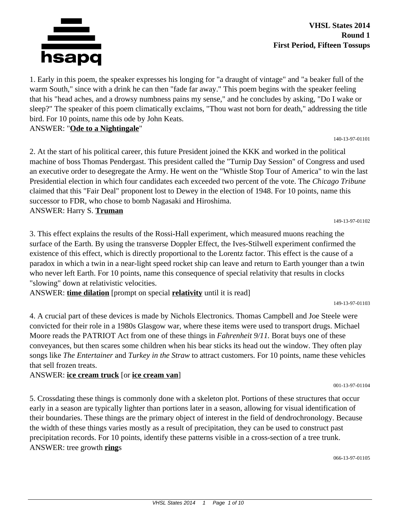

**VHSL States 2014 Round 1 First Period, Fifteen Tossups**

1. Early in this poem, the speaker expresses his longing for "a draught of vintage" and "a beaker full of the warm South," since with a drink he can then "fade far away." This poem begins with the speaker feeling that his "head aches, and a drowsy numbness pains my sense," and he concludes by asking, "Do I wake or sleep?" The speaker of this poem climatically exclaims, "Thou wast not born for death," addressing the title bird. For 10 points, name this ode by John Keats.

ANSWER: "**Ode to a Nightingale**"

2. At the start of his political career, this future President joined the KKK and worked in the political machine of boss Thomas Pendergast. This president called the "Turnip Day Session" of Congress and used an executive order to desegregate the Army. He went on the "Whistle Stop Tour of America" to win the last Presidential election in which four candidates each exceeded two percent of the vote. The *Chicago Tribune* claimed that this "Fair Deal" proponent lost to Dewey in the election of 1948. For 10 points, name this successor to FDR, who chose to bomb Nagasaki and Hiroshima. ANSWER: Harry S. **Truman**

149-13-97-01102

140-13-97-01101

3. This effect explains the results of the Rossi-Hall experiment, which measured muons reaching the surface of the Earth. By using the transverse Doppler Effect, the Ives-Stilwell experiment confirmed the existence of this effect, which is directly proportional to the Lorentz factor. This effect is the cause of a paradox in which a twin in a near-light speed rocket ship can leave and return to Earth younger than a twin who never left Earth. For 10 points, name this consequence of special relativity that results in clocks "slowing" down at relativistic velocities.

ANSWER: **time dilation** [prompt on special **relativity** until it is read]

149-13-97-01103

4. A crucial part of these devices is made by Nichols Electronics. Thomas Campbell and Joe Steele were convicted for their role in a 1980s Glasgow war, where these items were used to transport drugs. Michael Moore reads the PATRIOT Act from one of these things in *Fahrenheit 9/11.* Borat buys one of these conveyances, but then scares some children when his bear sticks its head out the window. They often play songs like *The Entertainer* and *Turkey in the Straw* to attract customers. For 10 points, name these vehicles that sell frozen treats.

# ANSWER: **ice cream truck** [or **ice cream van**]

5. Crossdating these things is commonly done with a skeleton plot. Portions of these structures that occur early in a season are typically lighter than portions later in a season, allowing for visual identification of their boundaries. These things are the primary object of interest in the field of dendrochronology. Because the width of these things varies mostly as a result of precipitation, they can be used to construct past precipitation records. For 10 points, identify these patterns visible in a cross-section of a tree trunk. ANSWER: tree growth **ring**s

066-13-97-01105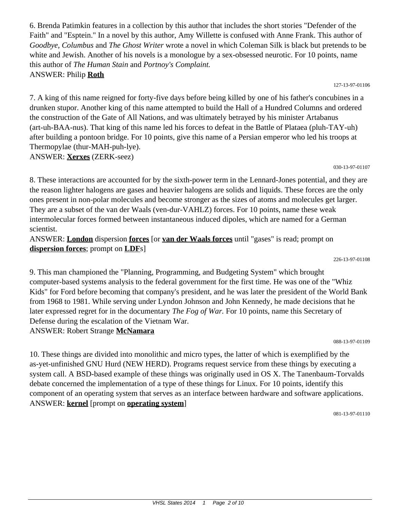6. Brenda Patimkin features in a collection by this author that includes the short stories "Defender of the Faith" and "Esptein." In a novel by this author, Amy Willette is confused with Anne Frank. This author of *Goodbye, Columbus* and *The Ghost Writer* wrote a novel in which Coleman Silk is black but pretends to be white and Jewish. Another of his novels is a monologue by a sex-obsessed neurotic. For 10 points, name this author of *The Human Stain* and *Portnoy's Complaint.* ANSWER: Philip **Roth**

127-13-97-01106

7. A king of this name reigned for forty-five days before being killed by one of his father's concubines in a drunken stupor. Another king of this name attempted to build the Hall of a Hundred Columns and ordered the construction of the Gate of All Nations, and was ultimately betrayed by his minister Artabanus (art-uh-BAA-nus). That king of this name led his forces to defeat in the Battle of Plataea (pluh-TAY-uh) after building a pontoon bridge. For 10 points, give this name of a Persian emperor who led his troops at Thermopylae (thur-MAH-puh-lye). ANSWER: **Xerxes** (ZERK-seez)

030-13-97-01107

8. These interactions are accounted for by the sixth-power term in the Lennard-Jones potential, and they are the reason lighter halogens are gases and heavier halogens are solids and liquids. These forces are the only ones present in non-polar molecules and become stronger as the sizes of atoms and molecules get larger. They are a subset of the van der Waals (ven-dur-VAHLZ) forces. For 10 points, name these weak intermolecular forces formed between instantaneous induced dipoles, which are named for a German scientist.

ANSWER: **London** dispersion **forces** [or **van der Waals forces** until "gases" is read; prompt on **dispersion forces**; prompt on **LDF**s]

226-13-97-01108

9. This man championed the "Planning, Programming, and Budgeting System" which brought computer-based systems analysis to the federal government for the first time. He was one of the "Whiz Kids" for Ford before becoming that company's president, and he was later the president of the World Bank from 1968 to 1981. While serving under Lyndon Johnson and John Kennedy, he made decisions that he later expressed regret for in the documentary *The Fog of War.* For 10 points, name this Secretary of Defense during the escalation of the Vietnam War. ANSWER: Robert Strange **McNamara**

088-13-97-01109

10. These things are divided into monolithic and micro types, the latter of which is exemplified by the as-yet-unfinished GNU Hurd (NEW HERD). Programs request service from these things by executing a system call. A BSD-based example of these things was originally used in OS X. The Tanenbaum-Torvalds debate concerned the implementation of a type of these things for Linux. For 10 points, identify this component of an operating system that serves as an interface between hardware and software applications. ANSWER: **kernel** [prompt on **operating system**]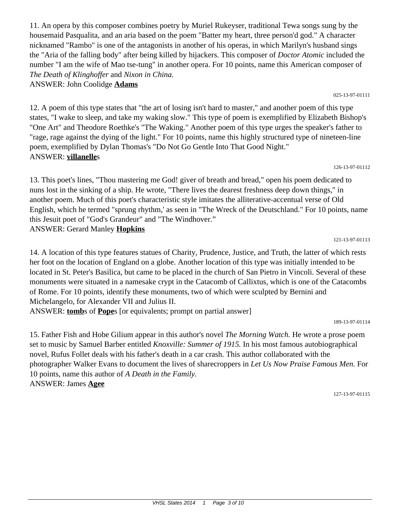11. An opera by this composer combines poetry by Muriel Rukeyser, traditional Tewa songs sung by the housemaid Pasqualita, and an aria based on the poem "Batter my heart, three person'd god." A character nicknamed "Rambo" is one of the antagonists in another of his operas, in which Marilyn's husband sings the "Aria of the falling body" after being killed by hijackers. This composer of *Doctor Atomic* included the number "I am the wife of Mao tse-tung" in another opera. For 10 points, name this American composer of *The Death of Klinghoffer* and *Nixon in China.*

ANSWER: John Coolidge **Adams**

12. A poem of this type states that "the art of losing isn't hard to master," and another poem of this type states, "I wake to sleep, and take my waking slow." This type of poem is exemplified by Elizabeth Bishop's "One Art" and Theodore Roethke's "The Waking." Another poem of this type urges the speaker's father to "rage, rage against the dying of the light." For 10 points, name this highly structured type of nineteen-line poem, exemplified by Dylan Thomas's "Do Not Go Gentle Into That Good Night." ANSWER: **villanelle**s

## 126-13-97-01112

13. This poet's lines, "Thou mastering me God! giver of breath and bread," open his poem dedicated to nuns lost in the sinking of a ship. He wrote, "There lives the dearest freshness deep down things," in another poem. Much of this poet's characteristic style imitates the alliterative-accentual verse of Old English, which he termed "sprung rhythm,' as seen in "The Wreck of the Deutschland." For 10 points, name this Jesuit poet of "God's Grandeur" and "The Windhover." ANSWER: Gerard Manley **Hopkins**

14. A location of this type features statues of Charity, Prudence, Justice, and Truth, the latter of which rests her foot on the location of England on a globe. Another location of this type was initially intended to be located in St. Peter's Basilica, but came to be placed in the church of San Pietro in Vincoli. Several of these monuments were situated in a namesake crypt in the Catacomb of Callixtus, which is one of the Catacombs of Rome. For 10 points, identify these monuments, two of which were sculpted by Bernini and Michelangelo, for Alexander VII and Julius II.

ANSWER: **tomb**s of **Pope**s [or equivalents; prompt on partial answer]

189-13-97-01114

15. Father Fish and Hobe Gilium appear in this author's novel *The Morning Watch.* He wrote a prose poem set to music by Samuel Barber entitled *Knoxville: Summer of 1915.* In his most famous autobiographical novel, Rufus Follet deals with his father's death in a car crash. This author collaborated with the photographer Walker Evans to document the lives of sharecroppers in *Let Us Now Praise Famous Men.* For 10 points, name this author of *A Death in the Family.* ANSWER: James **Agee**

127-13-97-01115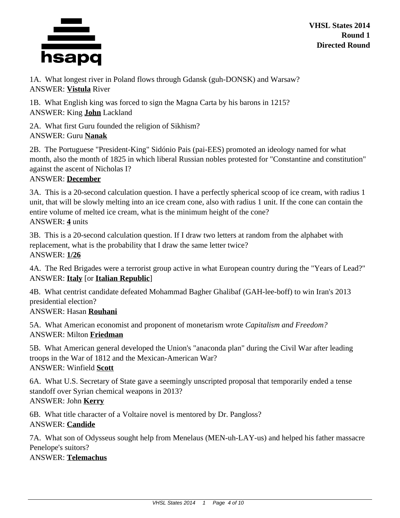

**VHSL States 2014 Round 1 Directed Round**

1A. What longest river in Poland flows through Gdansk (guh-DONSK) and Warsaw? ANSWER: **Vistula** River

1B. What English king was forced to sign the Magna Carta by his barons in 1215? ANSWER: King **John** Lackland

2A. What first Guru founded the religion of Sikhism? ANSWER: Guru **Nanak**

2B. The Portuguese "President-King" Sidónio Pais (pai-EES) promoted an ideology named for what month, also the month of 1825 in which liberal Russian nobles protested for "Constantine and constitution" against the ascent of Nicholas I?

# ANSWER: **December**

3A. This is a 20-second calculation question. I have a perfectly spherical scoop of ice cream, with radius 1 unit, that will be slowly melting into an ice cream cone, also with radius 1 unit. If the cone can contain the entire volume of melted ice cream, what is the minimum height of the cone? ANSWER: **4** units

3B. This is a 20-second calculation question. If I draw two letters at random from the alphabet with replacement, what is the probability that I draw the same letter twice? ANSWER: **1/26**

4A. The Red Brigades were a terrorist group active in what European country during the "Years of Lead?" ANSWER: **Italy** [or **Italian Republic**]

4B. What centrist candidate defeated Mohammad Bagher Ghalibaf (GAH-lee-boff) to win Iran's 2013 presidential election?

ANSWER: Hasan **Rouhani**

5A. What American economist and proponent of monetarism wrote *Capitalism and Freedom?* ANSWER: Milton **Friedman**

5B. What American general developed the Union's "anaconda plan" during the Civil War after leading troops in the War of 1812 and the Mexican-American War? ANSWER: Winfield **Scott**

6A. What U.S. Secretary of State gave a seemingly unscripted proposal that temporarily ended a tense standoff over Syrian chemical weapons in 2013? ANSWER: John **Kerry**

6B. What title character of a Voltaire novel is mentored by Dr. Pangloss? ANSWER: **Candide**

7A. What son of Odysseus sought help from Menelaus (MEN-uh-LAY-us) and helped his father massacre Penelope's suitors? ANSWER: **Telemachus**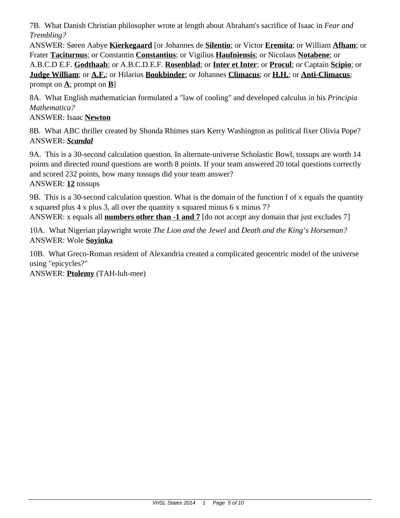7B. What Danish Christian philosopher wrote at length about Abraham's sacrifice of Isaac in *Fear and Trembling?*

ANSWER: Søren Aabye **Kierkegaard** [or Johannes de **Silentio**; or Victor **Eremita**; or William **Afham**; or Frater **Taciturnus**; or Constantin **Constantius**; or Vigilius **Haufniensis**; or Nicolaus **Notabene**; or A.B.C.D E.F. **Godthaab**; or A.B.C.D.E.F. **Rosenblad**; or **Inter et Inter**; or **Procul**; or Captain **Scipio**; or **Judge William**; or **A.F.**; or Hilarius **Bookbinder**; or Johannes **Climacus**; or **H.H.**; or **Anti-Climacus**; prompt on **A**; prompt on **B**]

8A. What English mathematician formulated a "law of cooling" and developed calculus in his *Principia Mathematica?*

ANSWER: Isaac **Newton**

8B. What ABC thriller created by Shonda Rhimes stars Kerry Washington as political fixer Olivia Pope? ANSWER: *Scandal*

9A. This is a 30-second calculation question. In alternate-universe Scholastic Bowl, tossups are worth 14 points and directed round questions are worth 8 points. If your team answered 20 total questions correctly and scored 232 points, how many tossups did your team answer? ANSWER: **12** tossups

9B. This is a 30-second calculation question. What is the domain of the function f of x equals the quantity x squared plus 4 x plus 3, all over the quantity x squared minus 6 x minus 7?

ANSWER: x equals all **numbers other than -1 and 7** [do not accept any domain that just excludes 7]

10A. What Nigerian playwright wrote *The Lion and the Jewel* and *Death and the King's Horseman?* ANSWER: Wole **Soyinka**

10B. What Greco-Roman resident of Alexandria created a complicated geocentric model of the universe using "epicycles?"

ANSWER: **Ptolemy** (TAH-luh-mee)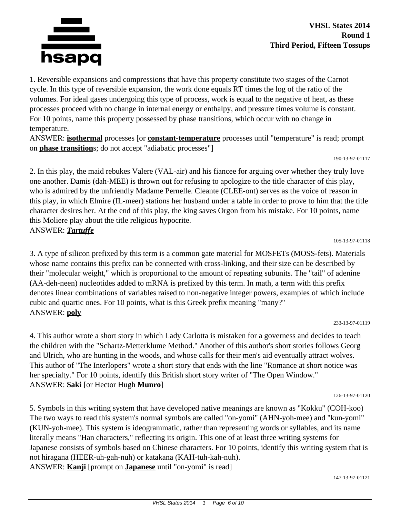

1. Reversible expansions and compressions that have this property constitute two stages of the Carnot cycle. In this type of reversible expansion, the work done equals RT times the log of the ratio of the volumes. For ideal gases undergoing this type of process, work is equal to the negative of heat, as these processes proceed with no change in internal energy or enthalpy, and pressure times volume is constant. For 10 points, name this property possessed by phase transitions, which occur with no change in temperature.

ANSWER: **isothermal** processes [or **constant-temperature** processes until "temperature" is read; prompt on **phase transition**s; do not accept "adiabatic processes"]

190-13-97-01117

2. In this play, the maid rebukes Valere (VAL-air) and his fiancee for arguing over whether they truly love one another. Damis (dah-MEE) is thrown out for refusing to apologize to the title character of this play, who is admired by the unfriendly Madame Pernelle. Cleante (CLEE-ont) serves as the voice of reason in this play, in which Elmire (IL-meer) stations her husband under a table in order to prove to him that the title character desires her. At the end of this play, the king saves Orgon from his mistake. For 10 points, name this Moliere play about the title religious hypocrite. ANSWER: *Tartuffe*

3. A type of silicon prefixed by this term is a common gate material for MOSFETs (MOSS-fets). Materials whose name contains this prefix can be connected with cross-linking, and their size can be described by their "molecular weight," which is proportional to the amount of repeating subunits. The "tail" of adenine (AA-deh-neen) nucleotides added to mRNA is prefixed by this term. In math, a term with this prefix denotes linear combinations of variables raised to non-negative integer powers, examples of which include cubic and quartic ones. For 10 points, what is this Greek prefix meaning "many?" ANSWER: **poly**

## 233-13-97-01119

4. This author wrote a short story in which Lady Carlotta is mistaken for a governess and decides to teach the children with the "Schartz-Metterklume Method." Another of this author's short stories follows Georg and Ulrich, who are hunting in the woods, and whose calls for their men's aid eventually attract wolves. This author of "The Interlopers" wrote a short story that ends with the line "Romance at short notice was her specialty." For 10 points, identify this British short story writer of "The Open Window." ANSWER: **Saki** [or Hector Hugh **Munro**]

126-13-97-01120

5. Symbols in this writing system that have developed native meanings are known as "Kokku" (COH-koo) The two ways to read this system's normal symbols are called "on-yomi" (AHN-yoh-mee) and "kun-yomi" (KUN-yoh-mee). This system is ideogrammatic, rather than representing words or syllables, and its name literally means "Han characters," reflecting its origin. This one of at least three writing systems for Japanese consists of symbols based on Chinese characters. For 10 points, identify this writing system that is not hiragana (HEER-uh-gah-nuh) or katakana (KAH-tuh-kah-nuh). ANSWER: **Kanji** [prompt on **Japanese** until "on-yomi" is read]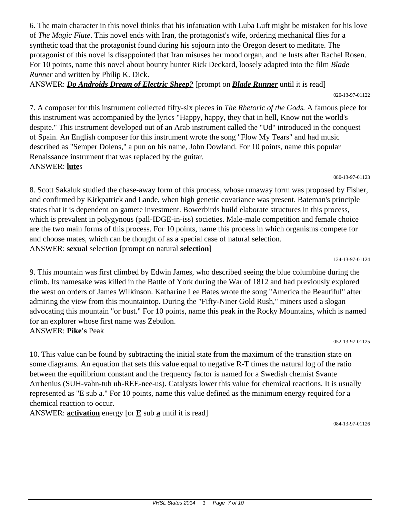6. The main character in this novel thinks that his infatuation with Luba Luft might be mistaken for his love of *The Magic Flute*. This novel ends with Iran, the protagonist's wife, ordering mechanical flies for a synthetic toad that the protagonist found during his sojourn into the Oregon desert to meditate. The protagonist of this novel is disappointed that Iran misuses her mood organ, and he lusts after Rachel Rosen. For 10 points, name this novel about bounty hunter Rick Deckard, loosely adapted into the film *Blade Runner* and written by Philip K. Dick.

ANSWER: *Do Androids Dream of Electric Sheep?* [prompt on *Blade Runner* until it is read] 020-13-97-01122

7. A composer for this instrument collected fifty-six pieces in *The Rhetoric of the Gods.* A famous piece for this instrument was accompanied by the lyrics "Happy, happy, they that in hell, Know not the world's despite." This instrument developed out of an Arab instrument called the "Ud" introduced in the conquest of Spain. An English composer for this instrument wrote the song "Flow My Tears" and had music described as "Semper Dolens," a pun on his name, John Dowland. For 10 points, name this popular Renaissance instrument that was replaced by the guitar. ANSWER: **lute**s

080-13-97-01123

8. Scott Sakaluk studied the chase-away form of this process, whose runaway form was proposed by Fisher, and confirmed by Kirkpatrick and Lande, when high genetic covariance was present. Bateman's principle states that it is dependent on gamete investment. Bowerbirds build elaborate structures in this process, which is prevalent in polygynous (pall-IDGE-in-iss) societies. Male-male competition and female choice are the two main forms of this process. For 10 points, name this process in which organisms compete for and choose mates, which can be thought of as a special case of natural selection. ANSWER: **sexual** selection [prompt on natural **selection**]

124-13-97-01124

9. This mountain was first climbed by Edwin James, who described seeing the blue columbine during the climb. Its namesake was killed in the Battle of York during the War of 1812 and had previously explored the west on orders of James Wilkinson. Katharine Lee Bates wrote the song "America the Beautiful" after admiring the view from this mountaintop. During the "Fifty-Niner Gold Rush," miners used a slogan advocating this mountain "or bust." For 10 points, name this peak in the Rocky Mountains, which is named for an explorer whose first name was Zebulon. ANSWER: **Pike's** Peak

052-13-97-01125

10. This value can be found by subtracting the initial state from the maximum of the transition state on some diagrams. An equation that sets this value equal to negative R-T times the natural log of the ratio between the equilibrium constant and the frequency factor is named for a Swedish chemist Svante Arrhenius (SUH-vahn-tuh uh-REE-nee-us). Catalysts lower this value for chemical reactions. It is usually represented as "E sub a." For 10 points, name this value defined as the minimum energy required for a chemical reaction to occur.

ANSWER: **activation** energy [or **E** sub **a** until it is read]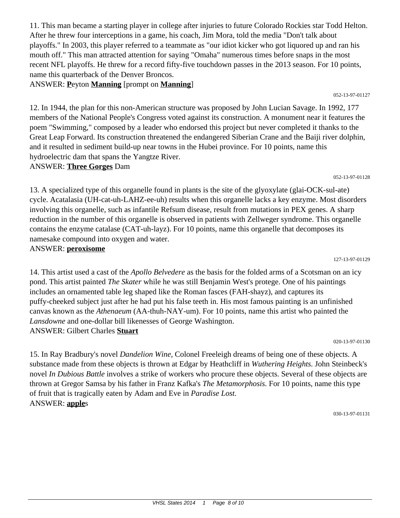11. This man became a starting player in college after injuries to future Colorado Rockies star Todd Helton. After he threw four interceptions in a game, his coach, Jim Mora, told the media "Don't talk about playoffs." In 2003, this player referred to a teammate as "our idiot kicker who got liquored up and ran his mouth off." This man attracted attention for saying "Omaha" numerous times before snaps in the most recent NFL playoffs. He threw for a record fifty-five touchdown passes in the 2013 season. For 10 points, name this quarterback of the Denver Broncos.

ANSWER: **P**eyton **Manning** [prompt on **Manning**]

12. In 1944, the plan for this non-American structure was proposed by John Lucian Savage. In 1992, 177 members of the National People's Congress voted against its construction. A monument near it features the poem "Swimming," composed by a leader who endorsed this project but never completed it thanks to the Great Leap Forward. Its construction threatened the endangered Siberian Crane and the Baiji river dolphin, and it resulted in sediment build-up near towns in the Hubei province. For 10 points, name this hydroelectric dam that spans the Yangtze River.

# ANSWER: **Three Gorges** Dam

13. A specialized type of this organelle found in plants is the site of the glyoxylate (glai-OCK-sul-ate) cycle. Acatalasia (UH-cat-uh-LAHZ-ee-uh) results when this organelle lacks a key enzyme. Most disorders involving this organelle, such as infantile Refsum disease, result from mutations in PEX genes. A sharp reduction in the number of this organelle is observed in patients with Zellweger syndrome. This organelle contains the enzyme catalase (CAT-uh-layz). For 10 points, name this organelle that decomposes its namesake compound into oxygen and water. ANSWER: **peroxisome**

14. This artist used a cast of the *Apollo Belvedere* as the basis for the folded arms of a Scotsman on an icy pond. This artist painted *The Skater* while he was still Benjamin West's protege. One of his paintings includes an ornamented table leg shaped like the Roman fasces (FAH-shayz), and captures its puffy-cheeked subject just after he had put his false teeth in. His most famous painting is an unfinished canvas known as the *Athenaeum* (AA-thuh-NAY-um). For 10 points, name this artist who painted the *Lansdowne* and one-dollar bill likenesses of George Washington. ANSWER: Gilbert Charles **Stuart**

15. In Ray Bradbury's novel *Dandelion Wine,* Colonel Freeleigh dreams of being one of these objects. A substance made from these objects is thrown at Edgar by Heathcliff in *Wuthering Heights.* John Steinbeck's novel *In Dubious Battle* involves a strike of workers who procure these objects. Several of these objects are thrown at Gregor Samsa by his father in Franz Kafka's *The Metamorphosis.* For 10 points, name this type of fruit that is tragically eaten by Adam and Eve in *Paradise Lost.* ANSWER: **apple**s

030-13-97-01131

020-13-97-01130

### 127-13-97-01129

### 052-13-97-01127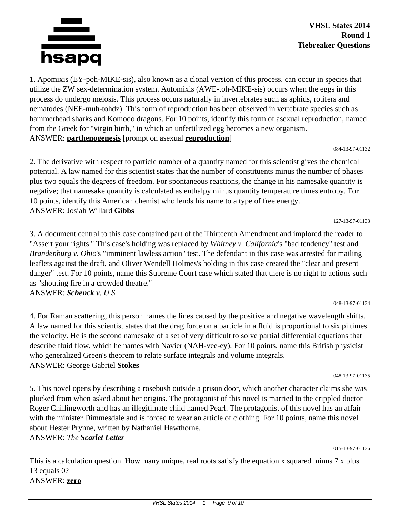

1. Apomixis (EY-poh-MIKE-sis), also known as a clonal version of this process, can occur in species that utilize the ZW sex-determination system. Automixis (AWE-toh-MIKE-sis) occurs when the eggs in this process do undergo meiosis. This process occurs naturally in invertebrates such as aphids, rotifers and nematodes (NEE-muh-tohdz). This form of reproduction has been observed in vertebrate species such as hammerhead sharks and Komodo dragons. For 10 points, identify this form of asexual reproduction, named from the Greek for "virgin birth," in which an unfertilized egg becomes a new organism. ANSWER: **parthenogenesis** [prompt on asexual **reproduction**]

084-13-97-01132

2. The derivative with respect to particle number of a quantity named for this scientist gives the chemical potential. A law named for this scientist states that the number of constituents minus the number of phases plus two equals the degrees of freedom. For spontaneous reactions, the change in his namesake quantity is negative; that namesake quantity is calculated as enthalpy minus quantity temperature times entropy. For 10 points, identify this American chemist who lends his name to a type of free energy. ANSWER: Josiah Willard **Gibbs**

127-13-97-01133

3. A document central to this case contained part of the Thirteenth Amendment and implored the reader to "Assert your rights." This case's holding was replaced by *Whitney v. California*'s "bad tendency" test and *Brandenburg v. Ohio*'s "imminent lawless action" test. The defendant in this case was arrested for mailing leaflets against the draft, and Oliver Wendell Holmes's holding in this case created the "clear and present danger" test. For 10 points, name this Supreme Court case which stated that there is no right to actions such as "shouting fire in a crowded theatre." ANSWER: *Schenck v. U.S.*

048-13-97-01134

4. For Raman scattering, this person names the lines caused by the positive and negative wavelength shifts. A law named for this scientist states that the drag force on a particle in a fluid is proportional to six pi times the velocity. He is the second namesake of a set of very difficult to solve partial differential equations that describe fluid flow, which he names with Navier (NAH-vee-ey). For 10 points, name this British physicist who generalized Green's theorem to relate surface integrals and volume integrals. ANSWER: George Gabriel **Stokes**

048-13-97-01135

5. This novel opens by describing a rosebush outside a prison door, which another character claims she was plucked from when asked about her origins. The protagonist of this novel is married to the crippled doctor Roger Chillingworth and has an illegitimate child named Pearl. The protagonist of this novel has an affair with the minister Dimmesdale and is forced to wear an article of clothing. For 10 points, name this novel about Hester Prynne, written by Nathaniel Hawthorne.

ANSWER: *The Scarlet Letter*

015-13-97-01136

This is a calculation question. How many unique, real roots satisfy the equation x squared minus 7 x plus 13 equals 0? ANSWER: **zero**